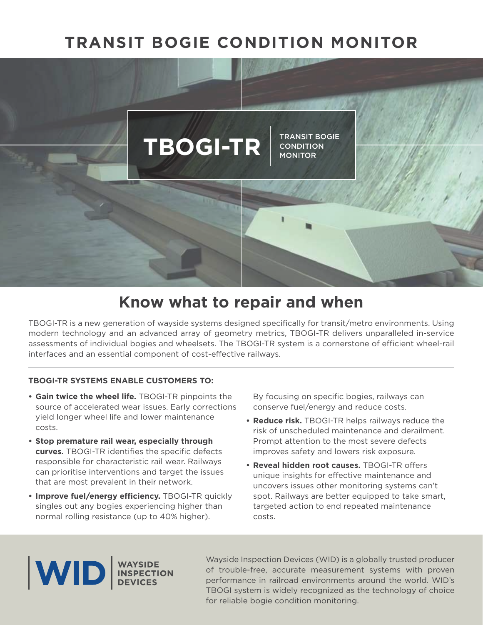# **TRANSIT BOGIE CONDITION MONITOR**



# **Know what to repair and when**

TBOGI-TR is a new generation of wayside systems designed specifically for transit/metro environments. Using modern technology and an advanced array of geometry metrics, TBOGI-TR delivers unparalleled in-service assessments of individual bogies and wheelsets. The TBOGI-TR system is a cornerstone of efficient wheel-rail interfaces and an essential component of cost-efective railways.

#### **TBOGI-TR SYSTEMS ENABLE CUSTOMERS TO:**

- **Gain twice the wheel life.** TBOGI-TR pinpoints the source of accelerated wear issues. Early corrections yield longer wheel life and lower maintenance costs.
- **Stop premature rail wear, especially through curves.** TBOGI-TR identifies the specific defects responsible for characteristic rail wear. Railways can prioritise interventions and target the issues that are most prevalent in their network.
- Improve fuel/energy efficiency. TBOGI-TR quickly singles out any bogies experiencing higher than normal rolling resistance (up to 40% higher).

By focusing on specific bogies, railways can conserve fuel/energy and reduce costs.

- **Reduce risk.** TBOGI-TR helps railways reduce the risk of unscheduled maintenance and derailment. Prompt attention to the most severe defects improves safety and lowers risk exposure.
- **Reveal hidden root causes.** TBOGI-TR offers unique insights for efective maintenance and uncovers issues other monitoring systems can't spot. Railways are better equipped to take smart, targeted action to end repeated maintenance costs.



Wayside Inspection Devices (WID) is a globally trusted producer of trouble-free, accurate measurement systems with proven performance in railroad environments around the world. WID's TBOGI system is widely recognized as the technology of choice for reliable bogie condition monitoring.